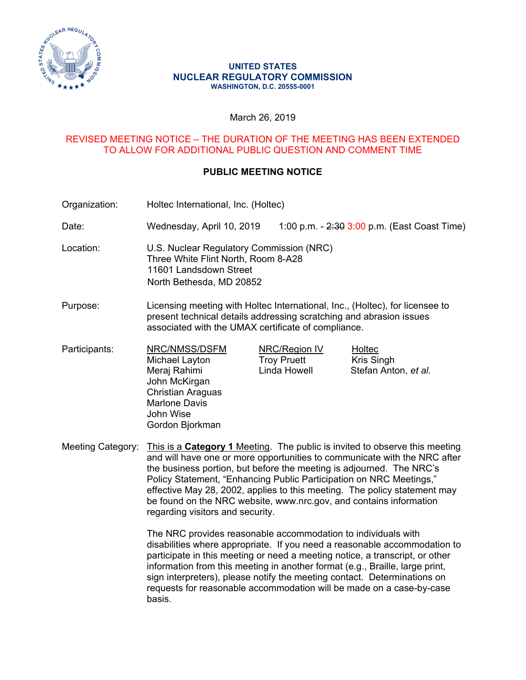

#### **UNITED STATES NUCLEAR REGULATORY COMMISSION WASHINGTON, D.C. 20555-0001**

## March 26, 2019

## REVISED MEETING NOTICE – THE DURATION OF THE MEETING HAS BEEN EXTENDED TO ALLOW FOR ADDITIONAL PUBLIC QUESTION AND COMMENT TIME

# **PUBLIC MEETING NOTICE**

Organization: Holtec International, Inc. (Holtec)

Date: Wednesday, April 10, 2019 1:00 p.m. - 2:30 3:00 p.m. (East Coast Time)

- Location: U.S. Nuclear Regulatory Commission (NRC) Three White Flint North, Room 8-A28 11601 Landsdown Street North Bethesda, MD 20852
- Purpose: Licensing meeting with Holtec International, Inc., (Holtec), for licensee to present technical details addressing scratching and abrasion issues associated with the UMAX certificate of compliance.
- Participants: NRC/NMSS/DSFM NRC/Region IV Holtec Michael Layton Troy Pruett Kris Singh Meraj Rahimi Linda Howell Stefan Anton, *et al.*  John McKirgan Christian Araguas Marlone Davis John Wise Gordon Bjorkman

Meeting Category: This is a **Category 1** Meeting. The public is invited to observe this meeting and will have one or more opportunities to communicate with the NRC after the business portion, but before the meeting is adjourned. The NRC's Policy Statement, "Enhancing Public Participation on NRC Meetings," effective May 28, 2002, applies to this meeting. The policy statement may be found on the NRC website, www.nrc.gov, and contains information regarding visitors and security.

> The NRC provides reasonable accommodation to individuals with disabilities where appropriate. If you need a reasonable accommodation to participate in this meeting or need a meeting notice, a transcript, or other information from this meeting in another format (e.g., Braille, large print, sign interpreters), please notify the meeting contact. Determinations on requests for reasonable accommodation will be made on a case-by-case basis.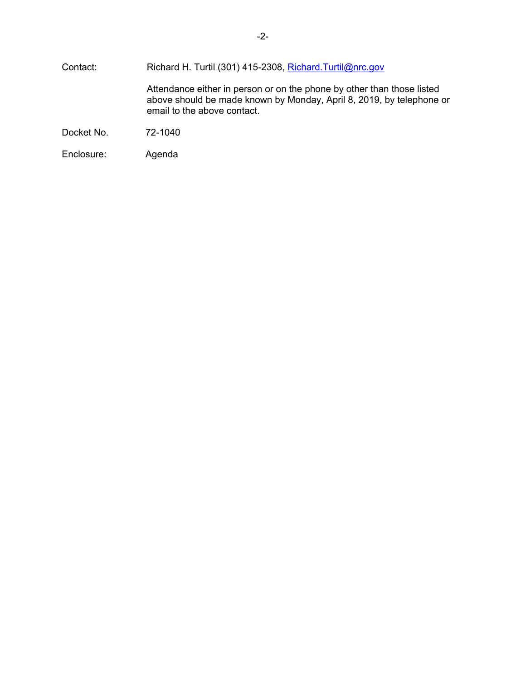| Contact:   | Richard H. Turtil (301) 415-2308, Richard.Turtil@nrc.gov                                                                                                                      |  |  |
|------------|-------------------------------------------------------------------------------------------------------------------------------------------------------------------------------|--|--|
|            | Attendance either in person or on the phone by other than those listed<br>above should be made known by Monday, April 8, 2019, by telephone or<br>email to the above contact. |  |  |
| Docket No. | 72-1040                                                                                                                                                                       |  |  |
| Enclosure: | Agenda                                                                                                                                                                        |  |  |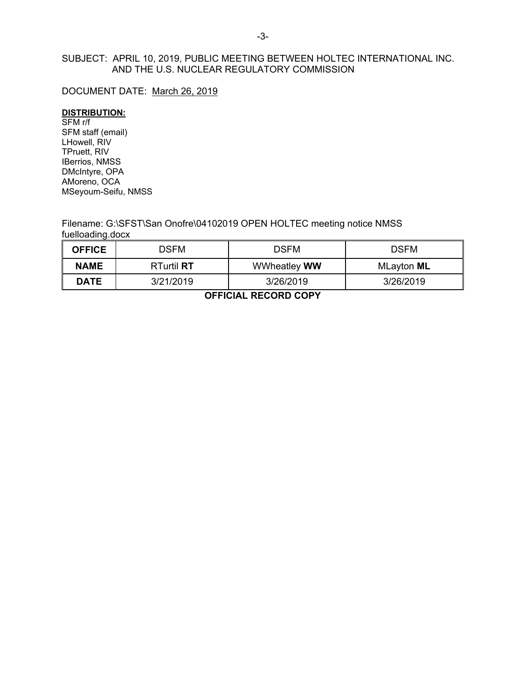# SUBJECT: APRIL 10, 2019, PUBLIC MEETING BETWEEN HOLTEC INTERNATIONAL INC. AND THE U.S. NUCLEAR REGULATORY COMMISSION

## DOCUMENT DATE: March 26, 2019

#### **DISTRIBUTION:**

SFM r/f SFM staff (email) LHowell, RIV TPruett, RIV IBerrios, NMSS DMcIntyre, OPA AMoreno, OCA MSeyoum-Seifu, NMSS

Filename: G:\SFST\San Onofre\04102019 OPEN HOLTEC meeting notice NMSS fuelloading.docx

| <b>OFFICE</b> | DSFM              | <b>DSFM</b>         | <b>DSFM</b>       |
|---------------|-------------------|---------------------|-------------------|
| <b>NAME</b>   | <b>RTurtil RT</b> | <b>WWheatley WW</b> | MLayton <b>ML</b> |
| <b>DATE</b>   | 3/21/2019         | 3/26/2019           | 3/26/2019         |

**OFFICIAL RECORD COPY**